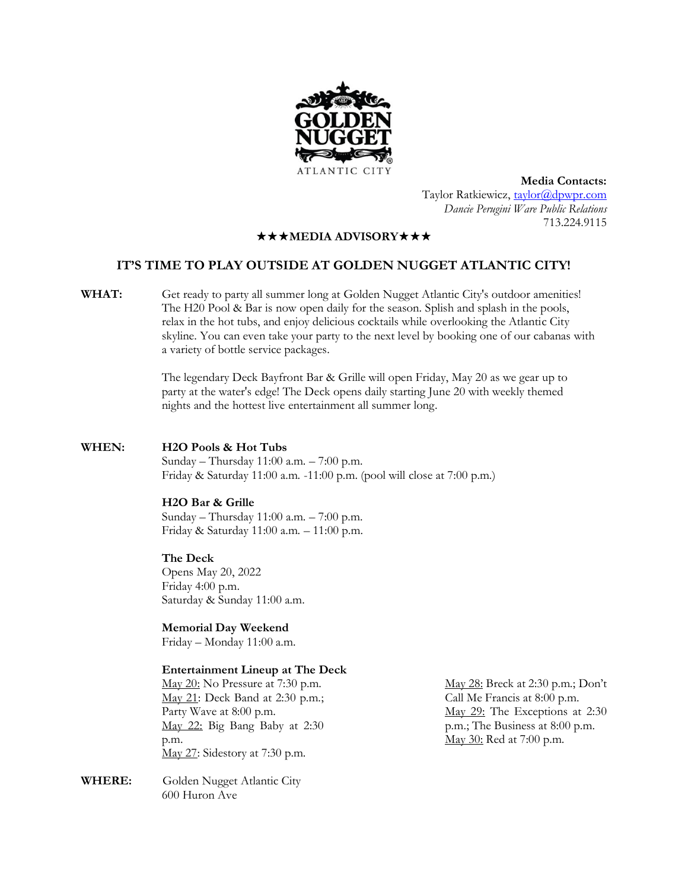

**Media Contacts:** Taylor Ratkiewicz, [taylor@dpwpr.com](mailto:taylor@dpwpr.com) *Dancie Perugini Ware Public Relations* 713.224.9115

## **★★★MEDIA ADVISORY★★★**

# **IT'S TIME TO PLAY OUTSIDE AT GOLDEN NUGGET ATLANTIC CITY!**

**WHAT:** Get ready to party all summer long at Golden Nugget Atlantic City's outdoor amenities! The H20 Pool & Bar is now open daily for the season. Splish and splash in the pools, relax in the hot tubs, and enjoy delicious cocktails while overlooking the Atlantic City skyline. You can even take your party to the next level by booking one of our cabanas with a variety of bottle service packages.

> The legendary Deck Bayfront Bar & Grille will open Friday, May 20 as we gear up to party at the water's edge! The Deck opens daily starting June 20 with weekly themed nights and the hottest live entertainment all summer long.

## **WHEN: H2O Pools & Hot Tubs**

Sunday – Thursday 11:00 a.m. – 7:00 p.m. Friday & Saturday 11:00 a.m. -11:00 p.m. (pool will close at 7:00 p.m.)

### **H2O Bar & Grille**

Sunday – Thursday 11:00 a.m. – 7:00 p.m. Friday & Saturday 11:00 a.m. – 11:00 p.m.

#### **The Deck**

Opens May 20, 2022 Friday 4:00 p.m. Saturday & Sunday 11:00 a.m.

**Memorial Day Weekend**

Friday – Monday 11:00 a.m.

#### **Entertainment Lineup at The Deck**

May 20: No Pressure at 7:30 p.m. May 21: Deck Band at 2:30 p.m.; Party Wave at 8:00 p.m. May 22: Big Bang Baby at 2:30 p.m. May 27: Sidestory at 7:30 p.m.

**WHERE:** Golden Nugget Atlantic City 600 Huron Ave

May 28: Breck at 2:30 p.m.; Don't Call Me Francis at 8:00 p.m. May 29: The Exceptions at 2:30 p.m.; The Business at 8:00 p.m. May 30: Red at 7:00 p.m.